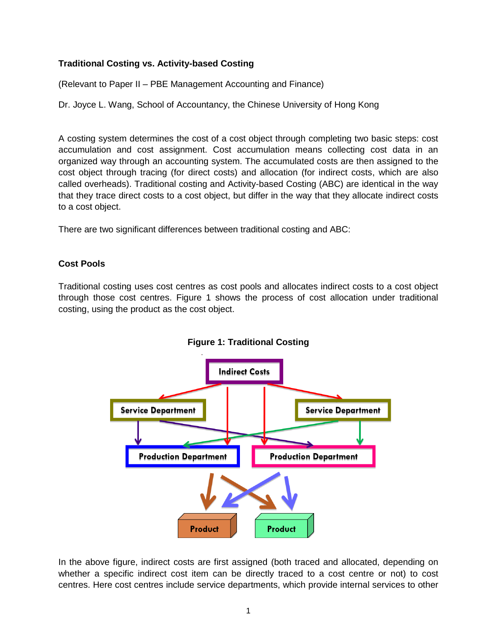# **Traditional Costing vs. Activity-based Costing**

(Relevant to Paper II – PBE Management Accounting and Finance)

Dr. Joyce L. Wang, School of Accountancy, the Chinese University of Hong Kong

A costing system determines the cost of a cost object through completing two basic steps: cost accumulation and cost assignment. Cost accumulation means collecting cost data in an organized way through an accounting system. The accumulated costs are then assigned to the cost object through tracing (for direct costs) and allocation (for indirect costs, which are also called overheads). Traditional costing and Activity-based Costing (ABC) are identical in the way that they trace direct costs to a cost object, but differ in the way that they allocate indirect costs to a cost object.

There are two significant differences between traditional costing and ABC:

## **Cost Pools**

Traditional costing uses cost centres as cost pools and allocates indirect costs to a cost object through those cost centres. Figure 1 shows the process of cost allocation under traditional costing, using the product as the cost object.



**Figure 1: Traditional Costing**

In the above figure, indirect costs are first assigned (both traced and allocated, depending on whether a specific indirect cost item can be directly traced to a cost centre or not) to cost centres. Here cost centres include service departments, which provide internal services to other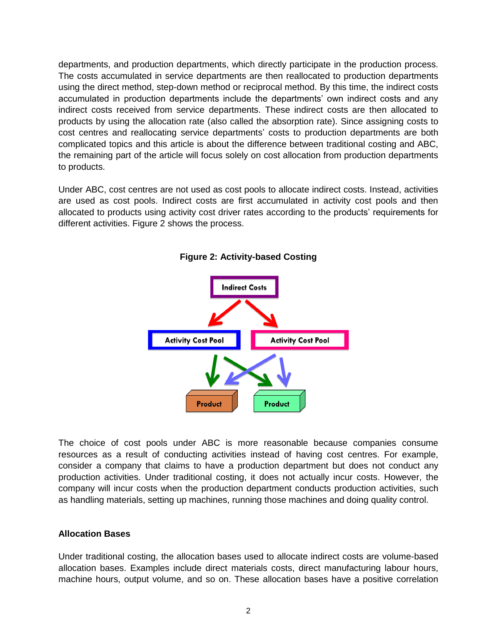departments, and production departments, which directly participate in the production process. The costs accumulated in service departments are then reallocated to production departments using the direct method, step-down method or reciprocal method. By this time, the indirect costs accumulated in production departments include the departments' own indirect costs and any indirect costs received from service departments. These indirect costs are then allocated to products by using the allocation rate (also called the absorption rate). Since assigning costs to cost centres and reallocating service departments' costs to production departments are both complicated topics and this article is about the difference between traditional costing and ABC, the remaining part of the article will focus solely on cost allocation from production departments to products.

Under ABC, cost centres are not used as cost pools to allocate indirect costs. Instead, activities are used as cost pools. Indirect costs are first accumulated in activity cost pools and then allocated to products using activity cost driver rates according to the products' requirements for different activities. Figure 2 shows the process.



**Figure 2: Activity-based Costing**

The choice of cost pools under ABC is more reasonable because companies consume resources as a result of conducting activities instead of having cost centres. For example, consider a company that claims to have a production department but does not conduct any production activities. Under traditional costing, it does not actually incur costs. However, the company will incur costs when the production department conducts production activities, such as handling materials, setting up machines, running those machines and doing quality control.

## **Allocation Bases**

Under traditional costing, the allocation bases used to allocate indirect costs are volume-based allocation bases. Examples include direct materials costs, direct manufacturing labour hours, machine hours, output volume, and so on. These allocation bases have a positive correlation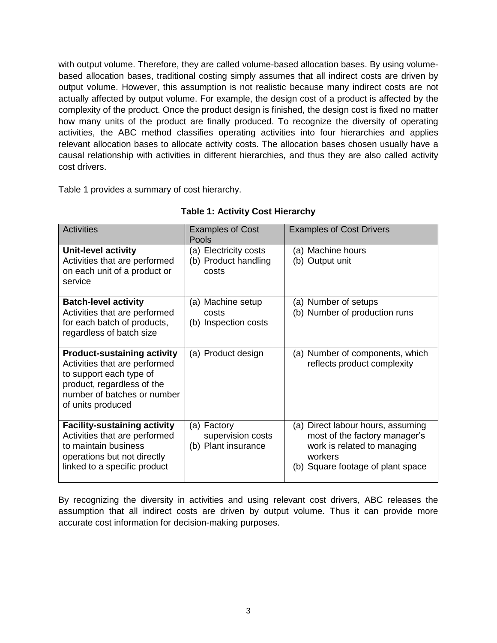with output volume. Therefore, they are called volume-based allocation bases. By using volumebased allocation bases, traditional costing simply assumes that all indirect costs are driven by output volume. However, this assumption is not realistic because many indirect costs are not actually affected by output volume. For example, the design cost of a product is affected by the complexity of the product. Once the product design is finished, the design cost is fixed no matter how many units of the product are finally produced. To recognize the diversity of operating activities, the ABC method classifies operating activities into four hierarchies and applies relevant allocation bases to allocate activity costs. The allocation bases chosen usually have a causal relationship with activities in different hierarchies, and thus they are also called activity cost drivers.

Table 1 provides a summary of cost hierarchy.

| <b>Activities</b>                                                                                                                                                                | <b>Examples of Cost</b><br>Pools                        | <b>Examples of Cost Drivers</b>                                                                                                                   |
|----------------------------------------------------------------------------------------------------------------------------------------------------------------------------------|---------------------------------------------------------|---------------------------------------------------------------------------------------------------------------------------------------------------|
| <b>Unit-level activity</b><br>Activities that are performed<br>on each unit of a product or<br>service                                                                           | (a) Electricity costs<br>(b) Product handling<br>costs  | (a) Machine hours<br>(b) Output unit                                                                                                              |
| <b>Batch-level activity</b><br>Activities that are performed<br>for each batch of products,<br>regardless of batch size                                                          | (a) Machine setup<br>costs<br>(b) Inspection costs      | (a) Number of setups<br>(b) Number of production runs                                                                                             |
| <b>Product-sustaining activity</b><br>Activities that are performed<br>to support each type of<br>product, regardless of the<br>number of batches or number<br>of units produced | (a) Product design                                      | (a) Number of components, which<br>reflects product complexity                                                                                    |
| <b>Facility-sustaining activity</b><br>Activities that are performed<br>to maintain business<br>operations but not directly<br>linked to a specific product                      | (a) Factory<br>supervision costs<br>(b) Plant insurance | (a) Direct labour hours, assuming<br>most of the factory manager's<br>work is related to managing<br>workers<br>(b) Square footage of plant space |

# **Table 1: Activity Cost Hierarchy**

By recognizing the diversity in activities and using relevant cost drivers, ABC releases the assumption that all indirect costs are driven by output volume. Thus it can provide more accurate cost information for decision-making purposes.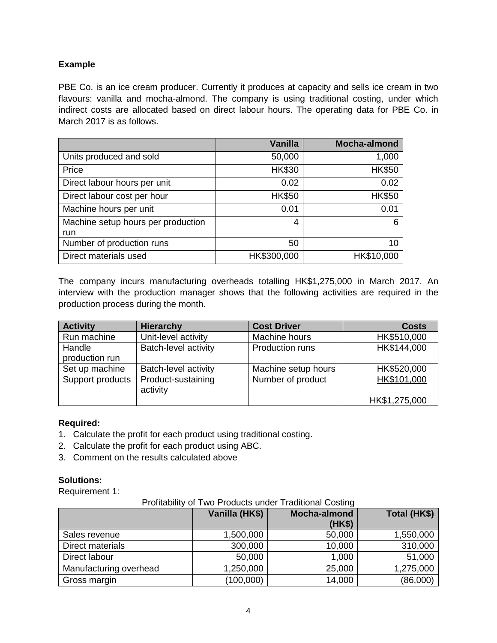## **Example**

PBE Co. is an ice cream producer. Currently it produces at capacity and sells ice cream in two flavours: vanilla and mocha-almond. The company is using traditional costing, under which indirect costs are allocated based on direct labour hours. The operating data for PBE Co. in March 2017 is as follows.

|                                           | <b>Vanilla</b> | <b>Mocha-almond</b> |
|-------------------------------------------|----------------|---------------------|
| Units produced and sold                   | 50,000         | 1,000               |
| Price                                     | <b>HK\$30</b>  | <b>HK\$50</b>       |
| Direct labour hours per unit              | 0.02           | 0.02                |
| Direct labour cost per hour               | <b>HK\$50</b>  | <b>HK\$50</b>       |
| Machine hours per unit                    | 0.01           | 0.01                |
| Machine setup hours per production<br>run | 4              | 6                   |
| Number of production runs                 | 50             | 10                  |
| Direct materials used                     | HK\$300,000    | HK\$10,000          |

The company incurs manufacturing overheads totalling HK\$1,275,000 in March 2017. An interview with the production manager shows that the following activities are required in the production process during the month.

| <b>Activity</b>          | <b>Hierarchy</b>               | <b>Cost Driver</b>     | <b>Costs</b>  |
|--------------------------|--------------------------------|------------------------|---------------|
| Run machine              | Unit-level activity            | Machine hours          | HK\$510,000   |
| Handle<br>production run | Batch-level activity           | <b>Production runs</b> | HK\$144,000   |
| Set up machine           | Batch-level activity           | Machine setup hours    | HK\$520,000   |
| Support products         | Product-sustaining<br>activity | Number of product      | HK\$101,000   |
|                          |                                |                        | HK\$1,275,000 |

## **Required:**

- 1. Calculate the profit for each product using traditional costing.
- 2. Calculate the profit for each product using ABC.
- 3. Comment on the results calculated above

## **Solutions:**

Requirement 1:

|                        | Vanilla (HK\$) | Mocha-almond<br>(HK\$) | Total (HK\$) |
|------------------------|----------------|------------------------|--------------|
| Sales revenue          | 1,500,000      | 50,000                 | 1,550,000    |
| Direct materials       | 300,000        | 10,000                 | 310,000      |
| Direct labour          | 50,000         | 1,000                  | 51,000       |
| Manufacturing overhead | 1,250,000      | 25,000                 | 1,275,000    |
| Gross margin           | (100,000)      | 14,000                 | (86,000)     |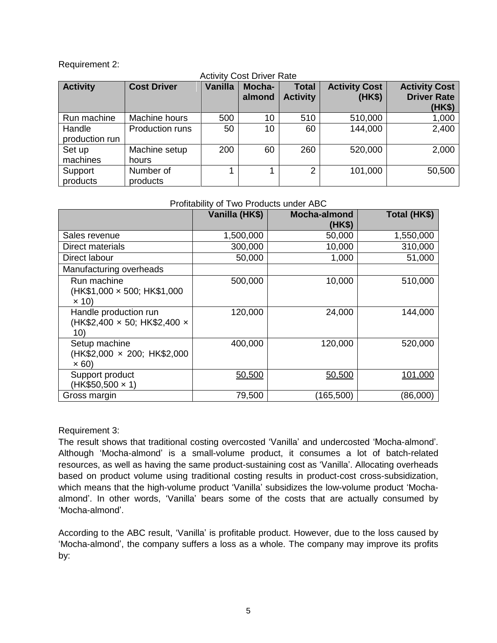#### Requirement 2:

| <b>Activity Cost Driver Rate</b> |                        |                |                  |                                 |                                |                                                      |
|----------------------------------|------------------------|----------------|------------------|---------------------------------|--------------------------------|------------------------------------------------------|
| <b>Activity</b>                  | <b>Cost Driver</b>     | <b>Vanilla</b> | Mocha-<br>almond | <b>Total</b><br><b>Activity</b> | <b>Activity Cost</b><br>(HK\$) | <b>Activity Cost</b><br><b>Driver Rate</b><br>(HK\$) |
| Run machine                      | Machine hours          | 500            | 10               | 510                             | 510,000                        | 1,000                                                |
| Handle<br>production run         | Production runs        | 50             | 10               | 60                              | 144,000                        | 2,400                                                |
| Set up<br>machines               | Machine setup<br>hours | 200            | 60               | 260                             | 520,000                        | 2,000                                                |
| Support<br>products              | Number of<br>products  | 1              |                  | $\overline{2}$                  | 101,000                        | 50,500                                               |

#### Profitability of Two Products under ABC

|                                                                        | Vanilla (HK\$) | <b>Mocha-almond</b><br>(HK\$) | Total (HK\$) |
|------------------------------------------------------------------------|----------------|-------------------------------|--------------|
| Sales revenue                                                          | 1,500,000      | 50,000                        | 1,550,000    |
| Direct materials                                                       | 300,000        | 10,000                        | 310,000      |
| Direct labour                                                          | 50,000         | 1,000                         | 51,000       |
| Manufacturing overheads                                                |                |                               |              |
| Run machine<br>(HK\$1,000 x 500; HK\$1,000<br>$\times$ 10)             | 500,000        | 10,000                        | 510,000      |
| Handle production run<br>$(HK$2,400 \times 50; HK$2,400 \times$<br>10) | 120,000        | 24,000                        | 144,000      |
| Setup machine<br>(HK\$2,000 $\times$ 200; HK\$2,000<br>$\times 60$     | 400,000        | 120,000                       | 520,000      |
| Support product<br>$(HK$50,500 \times 1)$                              | 50,500         | 50,500                        | 101,000      |
| Gross margin                                                           | 79,500         | (165,500)                     | (86,000)     |

## Requirement 3:

The result shows that traditional costing overcosted 'Vanilla' and undercosted 'Mocha-almond'. Although 'Mocha-almond' is a small-volume product, it consumes a lot of batch-related resources, as well as having the same product-sustaining cost as 'Vanilla'. Allocating overheads based on product volume using traditional costing results in product-cost cross-subsidization, which means that the high-volume product 'Vanilla' subsidizes the low-volume product 'Mochaalmond'. In other words, 'Vanilla' bears some of the costs that are actually consumed by 'Mocha-almond'.

According to the ABC result, 'Vanilla' is profitable product. However, due to the loss caused by 'Mocha-almond', the company suffers a loss as a whole. The company may improve its profits by: